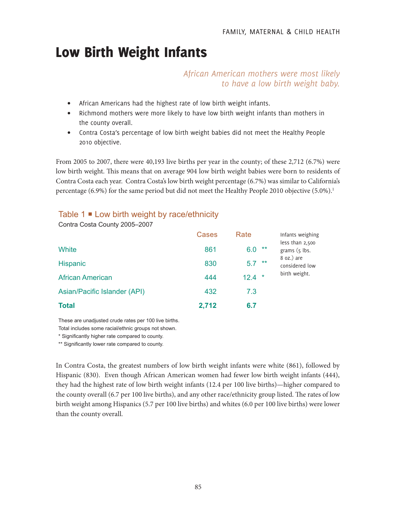# Low Birth Weight Infants

*African American mothers were most likely to have a low birth weight baby.*

- African Americans had the highest rate of low birth weight infants.
- Richmond mothers were more likely to have low birth weight infants than mothers in the county overall.
- Contra Costa's percentage of low birth weight babies did not meet the Healthy People 2010 objective.

From 2005 to 2007, there were 40,193 live births per year in the county; of these 2,712 (6.7%) were low birth weight. This means that on average 904 low birth weight babies were born to residents of Contra Costa each year. Contra Costa's low birth weight percentage (6.7%) was similar to California's percentage (6.9%) for the same period but did not meet the Healthy People 2010 objective (5.0%).<sup>1</sup>

# Table  $1 \equiv$  Low birth weight by race/ethnicity

|                              | <b>Cases</b> | Rate           | Infants weighing                   |
|------------------------------|--------------|----------------|------------------------------------|
| White                        | 861          | **<br>6.0      | less than 2,500<br>grams $(5$ lbs. |
| <b>Hispanic</b>              | 830          | $***$<br>5.7   | $8$ oz.) are<br>considered low     |
| <b>African American</b>      | 444          | $\ast$<br>12.4 | birth weight.                      |
| Asian/Pacific Islander (API) | 432          | 7.3            |                                    |
| <b>Total</b>                 | 2,712        | 6.7            |                                    |

Contra Costa County 2005–2007

These are unadjusted crude rates per 100 live births.

Total includes some racial/ethnic groups not shown.

\* Significantly higher rate compared to county.

\*\* Significantly lower rate compared to county.

In Contra Costa, the greatest numbers of low birth weight infants were white (861), followed by Hispanic (830). Even though African American women had fewer low birth weight infants (444), they had the highest rate of low birth weight infants (12.4 per 100 live births)—higher compared to the county overall (6.7 per 100 live births), and any other race/ethnicity group listed. The rates of low birth weight among Hispanics (5.7 per 100 live births) and whites (6.0 per 100 live births) were lower than the county overall.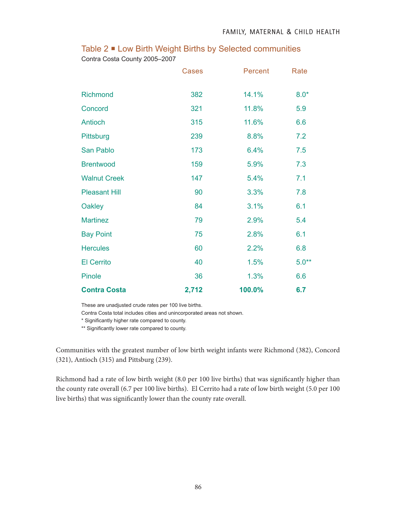|  | Table 2 ■ Low Birth Weight Births by Selected communities |
|--|-----------------------------------------------------------|
|--|-----------------------------------------------------------|

Contra Costa County 2005–2007

|                      | Cases | Percent | Rate    |
|----------------------|-------|---------|---------|
| Richmond             | 382   | 14.1%   | $8.0*$  |
| Concord              | 321   | 11.8%   | 5.9     |
| Antioch              | 315   | 11.6%   | 6.6     |
| Pittsburg            | 239   | 8.8%    | 7.2     |
| San Pablo            | 173   | 6.4%    | 7.5     |
| <b>Brentwood</b>     | 159   | 5.9%    | 7.3     |
| <b>Walnut Creek</b>  | 147   | 5.4%    | 7.1     |
| <b>Pleasant Hill</b> | 90    | 3.3%    | 7.8     |
| Oakley               | 84    | 3.1%    | 6.1     |
| <b>Martinez</b>      | 79    | 2.9%    | 5.4     |
| <b>Bay Point</b>     | 75    | 2.8%    | 6.1     |
| <b>Hercules</b>      | 60    | 2.2%    | 6.8     |
| <b>El Cerrito</b>    | 40    | 1.5%    | $5.0**$ |
| Pinole               | 36    | 1.3%    | 6.6     |
| <b>Contra Costa</b>  | 2,712 | 100.0%  | 6.7     |

These are unadjusted crude rates per 100 live births.

Contra Costa total includes cities and unincorporated areas not shown.

\* Significantly higher rate compared to county.

\*\* Significantly lower rate compared to county.

Communities with the greatest number of low birth weight infants were Richmond (382), Concord (321), Antioch (315) and Pittsburg (239).

Richmond had a rate of low birth weight (8.0 per 100 live births) that was significantly higher than the county rate overall (6.7 per 100 live births). El Cerrito had a rate of low birth weight (5.0 per 100 live births) that was significantly lower than the county rate overall.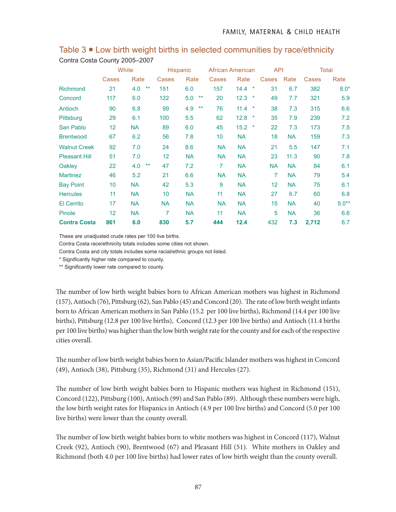|                      | White |              | Hispanic        |                     | African American |                 | <b>API</b> |           | Total |         |
|----------------------|-------|--------------|-----------------|---------------------|------------------|-----------------|------------|-----------|-------|---------|
|                      | Cases | Rate         | Cases           | Rate                | Cases            | Rate            | Cases      | Rate      | Cases | Rate    |
| <b>Richmond</b>      | 21    | $***$<br>4.0 | 151             | 6.0                 | 157              | $\star$<br>14.4 | 31         | 6.7       | 382   | $8.0*$  |
| Concord              | 117   | 6.0          | 122             | 5.0<br>$***$        | 20               | 12.3<br>$\star$ | 49         | 7.7       | 321   | 5.9     |
| Antioch              | 90    | 6.8          | 99              | $\star\star$<br>4.9 | 76               | $\star$<br>11.4 | 38         | 7.3       | 315   | 6.6     |
| Pittsburg            | 29    | 6.1          | 100             | 5.5                 | 62               | 12.8<br>$\star$ | 35         | 7.9       | 239   | 7.2     |
| San Pablo            | 12    | <b>NA</b>    | 89              | 6.0                 | 45               | 15.2<br>$\star$ | 22         | 7.3       | 173   | 7.5     |
| <b>Brentwood</b>     | 67    | 6.2          | 56              | 7.8                 | 10               | <b>NA</b>       | 18         | <b>NA</b> | 159   | 7.3     |
| <b>Walnut Creek</b>  | 92    | 7.0          | 24              | 8.6                 | <b>NA</b>        | <b>NA</b>       | 21         | 5.5       | 147   | 7.1     |
| <b>Pleasant Hill</b> | 51    | 7.0          | 12              | <b>NA</b>           | <b>NA</b>        | <b>NA</b>       | 23         | 11.3      | 90    | 7.8     |
| Oakley               | 22    | 4.0<br>$***$ | 47              | 7.2                 | 7                | <b>NA</b>       | <b>NA</b>  | <b>NA</b> | 84    | 6.1     |
| <b>Martinez</b>      | 46    | 5.2          | 21              | 6.6                 | <b>NA</b>        | <b>NA</b>       | 7          | <b>NA</b> | 79    | 5.4     |
| <b>Bay Point</b>     | 10    | <b>NA</b>    | 42              | 5.3                 | 9                | <b>NA</b>       | 12         | <b>NA</b> | 75    | 6.1     |
| <b>Hercules</b>      | 11    | <b>NA</b>    | 10 <sup>1</sup> | <b>NA</b>           | 11               | <b>NA</b>       | 27         | 6.7       | 60    | 6.8     |
| <b>El Cerrito</b>    | 17    | <b>NA</b>    | <b>NA</b>       | <b>NA</b>           | <b>NA</b>        | <b>NA</b>       | 15         | <b>NA</b> | 40    | $5.0**$ |
| Pinole               | 12    | <b>NA</b>    | 7               | <b>NA</b>           | 11               | <b>NA</b>       | 5          | <b>NA</b> | 36    | 6.6     |
| <b>Contra Costa</b>  | 861   | 6.0          | 830             | 5.7                 | 444              | 12.4            | 432        | 7.3       | 2,712 | 6.7     |

Table 3 **E** Low birth weight births in selected communities by race/ethnicity Contra Costa County 2005–2007

These are unadjusted crude rates per 100 live births.

Contra Costa race/ethnicity totals includes some cities not shown.

Contra Costa and city totals includes some racial/ethnic groups not listed.

\* Significantly higher rate compared to county.

\*\* Significantly lower rate compared to county.

The number of low birth weight babies born to African American mothers was highest in Richmond (157), Antioch (76), Pittsburg (62), San Pablo (45) and Concord (20). The rate of low birth weight infants born to African American mothers in San Pablo (15.2 per 100 live births), Richmond (14.4 per 100 live births), Pittsburg (12.8 per 100 live births), Concord (12.3 per 100 live births) and Antioch (11.4 births per 100 live births) was higher than the low birth weight rate for the county and for each of the respective cities overall.

The number of low birth weight babies born to Asian/Pacific Islander mothers was highest in Concord (49), Antioch (38), Pittsburg (35), Richmond (31) and Hercules (27).

The number of low birth weight babies born to Hispanic mothers was highest in Richmond (151), Concord (122), Pittsburg (100), Antioch (99) and San Pablo (89). Although these numbers were high, the low birth weight rates for Hispanics in Antioch (4.9 per 100 live births) and Concord (5.0 per 100 live births) were lower than the county overall.

The number of low birth weight babies born to white mothers was highest in Concord (117), Walnut Creek (92), Antioch (90), Brentwood (67) and Pleasant Hill (51). White mothers in Oakley and Richmond (both 4.0 per 100 live births) had lower rates of low birth weight than the county overall.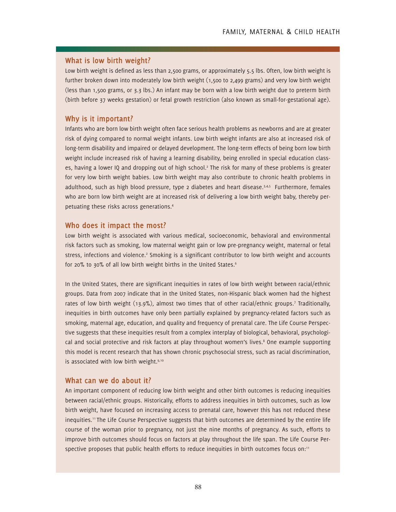#### **What is low birth weight?**

Low birth weight is defined as less than 2,500 grams, or approximately 5.5 lbs. Often, low birth weight is further broken down into moderately low birth weight (1,500 to 2,499 grams) and very low birth weight (less than 1,500 grams, or 3.3 lbs.) An infant may be born with a low birth weight due to preterm birth (birth before 37 weeks gestation) or fetal growth restriction (also known as small-for-gestational age).

## **Why is it important?**

Infants who are born low birth weight often face serious health problems as newborns and are at greater risk of dying compared to normal weight infants. Low birth weight infants are also at increased risk of long-term disability and impaired or delayed development. The long-term effects of being born low birth weight include increased risk of having a learning disability, being enrolled in special education classes, having a lower IQ and dropping out of high school.<sup>2</sup> The risk for many of these problems is greater for very low birth weight babies. Low birth weight may also contribute to chronic health problems in adulthood, such as high blood pressure, type 2 diabetes and heart disease.<sup>3,4,5</sup> Furthermore, females who are born low birth weight are at increased risk of delivering a low birth weight baby, thereby perpetuating these risks across generations.4

#### **Who does it impact the most?**

Low birth weight is associated with various medical, socioeconomic, behavioral and environmental risk factors such as smoking, low maternal weight gain or low pre-pregnancy weight, maternal or fetal stress, infections and violence.<sup>2</sup> Smoking is a significant contributor to low birth weight and accounts for 20% to 30% of all low birth weight births in the United States.<sup>6</sup>

In the United States, there are significant inequities in rates of low birth weight between racial/ethnic groups. Data from 2007 indicate that in the United States, non-Hispanic black women had the highest rates of low birth weight (13.9%), almost two times that of other racial/ethnic groups.<sup>7</sup> Traditionally, inequities in birth outcomes have only been partially explained by pregnancy-related factors such as smoking, maternal age, education, and quality and frequency of prenatal care. The Life Course Perspective suggests that these inequities result from a complex interplay of biological, behavioral, psychological and social protective and risk factors at play throughout women's lives.<sup>8</sup> One example supporting this model is recent research that has shown chronic psychosocial stress, such as racial discrimination, is associated with low birth weight.<sup>9,10</sup>

## **What can we do about it?**

An important component of reducing low birth weight and other birth outcomes is reducing inequities between racial/ethnic groups. Historically, efforts to address inequities in birth outcomes, such as low birth weight, have focused on increasing access to prenatal care, however this has not reduced these inequities.<sup>11</sup> The Life Course Perspective suggests that birth outcomes are determined by the entire life course of the woman prior to pregnancy, not just the nine months of pregnancy. As such, efforts to improve birth outcomes should focus on factors at play throughout the life span. The Life Course Perspective proposes that public health efforts to reduce inequities in birth outcomes focus on:<sup>11</sup>